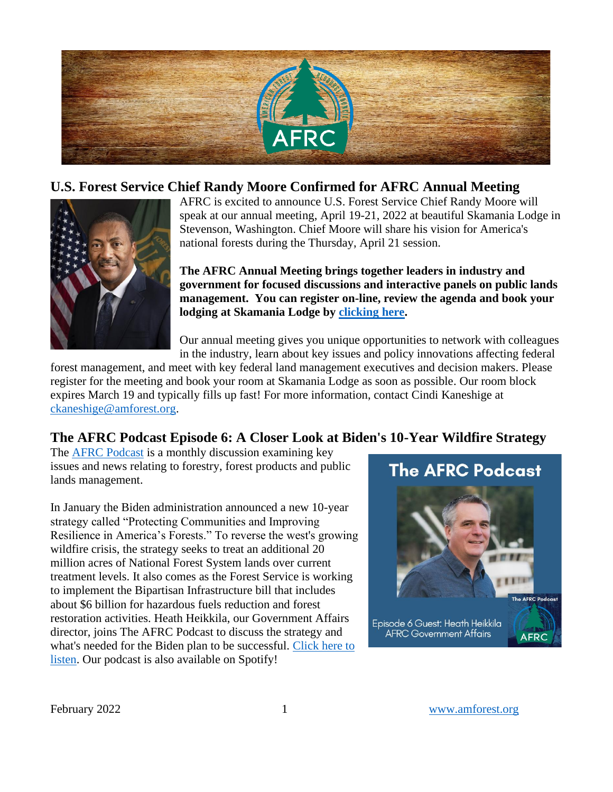

## **U.S. Forest Service Chief Randy Moore Confirmed for AFRC Annual Meeting**



AFRC is excited to announce U.S. Forest Service Chief Randy Moore will speak at our annual meeting, April 19-21, 2022 at beautiful Skamania Lodge in Stevenson, Washington. Chief Moore will share his vision for America's national forests during the Thursday, April 21 session.

**The AFRC Annual Meeting brings together leaders in industry and government for focused discussions and interactive panels on public lands management. You can register on-line, review the agenda and book your lodging at Skamania Lodge by [clicking here.](https://cvent.me/17Wgo9)** 

Our annual meeting gives you unique opportunities to network with colleagues in the industry, learn about key issues and policy innovations affecting federal

forest management, and meet with key federal land management executives and decision makers. Please register for the meeting and book your room at Skamania Lodge as soon as possible. Our room block expires March 19 and typically fills up fast! For more information, contact Cindi Kaneshige at [ckaneshige@amforest.org.](mailto:ckaneshige@amforest.org)

# **The AFRC Podcast Episode 6: A Closer Look at Biden's 10-Year Wildfire Strategy**

The [AFRC Podcast](https://anchor.fm/afrc-forestry/) is a monthly discussion examining key issues and news relating to forestry, forest products and public lands management.

In January the Biden administration announced a new 10-year strategy called "Protecting Communities and Improving Resilience in America's Forests." To reverse the west's growing wildfire crisis, the strategy seeks to treat an additional 20 million acres of National Forest System lands over current treatment levels. It also comes as the Forest Service is working to implement the Bipartisan Infrastructure bill that includes about \$6 billion for hazardous fuels reduction and forest restoration activities. Heath Heikkila, our Government Affairs director, joins The AFRC Podcast to discuss the strategy and what's needed for the Biden plan to be successful. [Click here to](https://anchor.fm/afrc-forestry/episodes/Episode-6-A-Closer-Look-at-Bidens-10-Year-Wildfire-Strategy-e1f39ga)  [listen.](https://anchor.fm/afrc-forestry/episodes/Episode-6-A-Closer-Look-at-Bidens-10-Year-Wildfire-Strategy-e1f39ga) Our podcast is also available on Spotify!

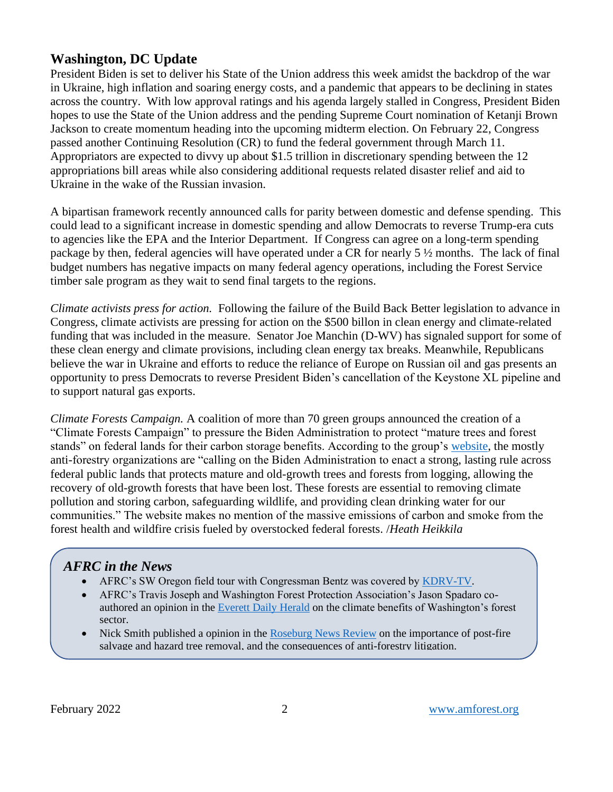# **Washington, DC Update**

President Biden is set to deliver his State of the Union address this week amidst the backdrop of the war in Ukraine, high inflation and soaring energy costs, and a pandemic that appears to be declining in states across the country. With low approval ratings and his agenda largely stalled in Congress, President Biden hopes to use the State of the Union address and the pending Supreme Court nomination of Ketanji Brown Jackson to create momentum heading into the upcoming midterm election. On February 22, Congress passed another Continuing Resolution (CR) to fund the federal government through March 11. Appropriators are expected to divvy up about \$1.5 trillion in discretionary spending between the 12 appropriations bill areas while also considering additional requests related disaster relief and aid to Ukraine in the wake of the Russian invasion.

A bipartisan framework recently announced calls for parity between domestic and defense spending. This could lead to a significant increase in domestic spending and allow Democrats to reverse Trump-era cuts to agencies like the EPA and the Interior Department. If Congress can agree on a long-term spending package by then, federal agencies will have operated under a CR for nearly 5 ½ months. The lack of final budget numbers has negative impacts on many federal agency operations, including the Forest Service timber sale program as they wait to send final targets to the regions.

*Climate activists press for action.* Following the failure of the Build Back Better legislation to advance in Congress, climate activists are pressing for action on the \$500 billon in clean energy and climate-related funding that was included in the measure. Senator Joe Manchin (D-WV) has signaled support for some of these clean energy and climate provisions, including clean energy tax breaks. Meanwhile, Republicans believe the war in Ukraine and efforts to reduce the reliance of Europe on Russian oil and gas presents an opportunity to press Democrats to reverse President Biden's cancellation of the Keystone XL pipeline and to support natural gas exports.

*Climate Forests Campaign.* A coalition of more than 70 green groups announced the creation of a "Climate Forests Campaign" to pressure the Biden Administration to protect "mature trees and forest stands" on federal lands for their carbon storage benefits. According to the group's [website,](https://www.climate-forests.org/) the mostly anti-forestry organizations are "calling on the Biden Administration to enact a strong, lasting rule across federal public lands that protects mature and old-growth trees and forests from logging, allowing the recovery of old-growth forests that have been lost. These forests are essential to removing climate pollution and storing carbon, safeguarding wildlife, and providing clean drinking water for our communities." The website makes no mention of the massive emissions of carbon and smoke from the forest health and wildfire crisis fueled by overstocked federal forests. /*Heath Heikkila*

# *AFRC in the News*

- AFRC's SW Oregon field tour with Congressman Bentz was covered by [KDRV-TV.](https://www.kdrv.com/community/rep-cliff-bentz-visits-federal-lands-in-jacksonville-that-would-be-impacted-by-the-river/article_15a04046-9388-11ec-9a33-f338312060b1.html)
- AFRC's Travis Joseph and Washington Forest Protection Association's Jason Spadaro coauthored an opinion in th[e Everett Daily Herald](https://www.heraldnet.com/opinion/comment-keep-washington-evergreen-with-sustainable-forests/) on the climate benefits of Washington's forest sector.
- Nick Smith published a opinion in the [Roseburg News Review](https://www.nrtoday.com/opinion/guest_columns/guest-column-there-are-costs-to-not-salvaging-trees/article_55e4a197-ad62-573c-93de-881465715527.html) on the importance of post-fire salvage and hazard tree removal, and the consequences of anti-forestry litigation.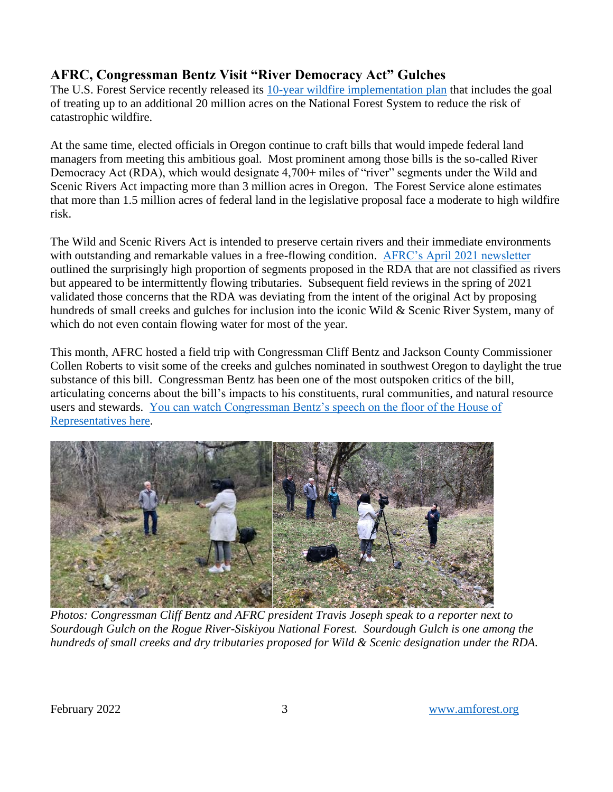# **AFRC, Congressman Bentz Visit "River Democracy Act" Gulches**

The U.S. Forest Service recently released its [10-year wildfire implementation plan](https://www.fs.usda.gov/managing-land/wildfire-crisis) that includes the goal of treating up to an additional 20 million acres on the National Forest System to reduce the risk of catastrophic wildfire.

At the same time, elected officials in Oregon continue to craft bills that would impede federal land managers from meeting this ambitious goal. Most prominent among those bills is the so-called River Democracy Act (RDA), which would designate 4,700+ miles of "river" segments under the Wild and Scenic Rivers Act impacting more than 3 million acres in Oregon. The Forest Service alone estimates that more than 1.5 million acres of federal land in the legislative proposal face a moderate to high wildfire risk.

The Wild and Scenic Rivers Act is intended to preserve certain rivers and their immediate environments with outstanding and remarkable values in a free-flowing condition. [AFRC's April 2021 newsletter](https://amforest.org/april-2021-newsletter/) outlined the surprisingly high proportion of segments proposed in the RDA that are not classified as rivers but appeared to be intermittently flowing tributaries. Subsequent field reviews in the spring of 2021 validated those concerns that the RDA was deviating from the intent of the original Act by proposing hundreds of small creeks and gulches for inclusion into the iconic Wild & Scenic River System, many of which do not even contain flowing water for most of the year.

This month, AFRC hosted a field trip with Congressman Cliff Bentz and Jackson County Commissioner Collen Roberts to visit some of the creeks and gulches nominated in southwest Oregon to daylight the true substance of this bill. Congressman Bentz has been one of the most outspoken critics of the bill, articulating concerns about the bill's impacts to his constituents, rural communities, and natural resource users and stewards. [You can watch Congressman Bentz's speech on the floor of the House of](https://ne-np.facebook.com/RepBentz/videos/253037223636424/)  [Representatives here.](https://ne-np.facebook.com/RepBentz/videos/253037223636424/)



*Photos: Congressman Cliff Bentz and AFRC president Travis Joseph speak to a reporter next to Sourdough Gulch on the Rogue River-Siskiyou National Forest. Sourdough Gulch is one among the hundreds of small creeks and dry tributaries proposed for Wild & Scenic designation under the RDA.*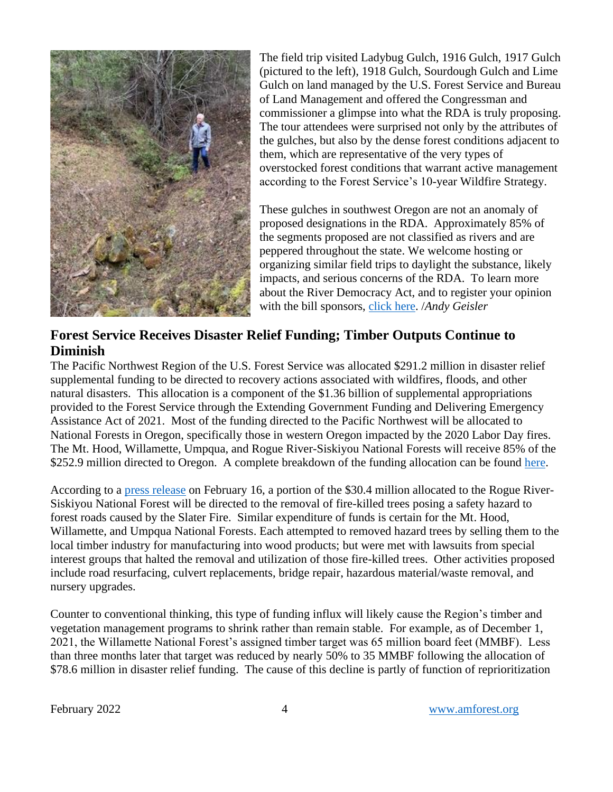

The field trip visited Ladybug Gulch, 1916 Gulch, 1917 Gulch (pictured to the left), 1918 Gulch, Sourdough Gulch and Lime Gulch on land managed by the U.S. Forest Service and Bureau of Land Management and offered the Congressman and commissioner a glimpse into what the RDA is truly proposing. The tour attendees were surprised not only by the attributes of the gulches, but also by the dense forest conditions adjacent to them, which are representative of the very types of overstocked forest conditions that warrant active management according to the Forest Service's 10-year Wildfire Strategy.

These gulches in southwest Oregon are not an anomaly of proposed designations in the RDA. Approximately 85% of the segments proposed are not classified as rivers and are peppered throughout the state. We welcome hosting or organizing similar field trips to daylight the substance, likely impacts, and serious concerns of the RDA. To learn more about the River Democracy Act, and to register your opinion with the bill sponsors, [click here.](https://www.votervoice.net/HFHC/campaigns/86373/respond) /*Andy Geisler*

### **Forest Service Receives Disaster Relief Funding; Timber Outputs Continue to Diminish**

The Pacific Northwest Region of the U.S. Forest Service was allocated \$291.2 million in disaster relief supplemental funding to be directed to recovery actions associated with wildfires, floods, and other natural disasters. This allocation is a component of the \$1.36 billion of supplemental appropriations provided to the Forest Service through the Extending Government Funding and Delivering Emergency Assistance Act of 2021. Most of the funding directed to the Pacific Northwest will be allocated to National Forests in Oregon, specifically those in western Oregon impacted by the 2020 Labor Day fires. The Mt. Hood, Willamette, Umpqua, and Rogue River-Siskiyou National Forests will receive 85% of the \$252.9 million directed to Oregon. A complete breakdown of the funding allocation can be found [here.](https://www.fs.usda.gov/detail/r6/home/?cid=FSEPRD997482)

According to a [press release](https://www.fs.usda.gov/detail/rogue-siskiyou/news-events/?cid=FSEPRD997555) on February 16, a portion of the \$30.4 million allocated to the Rogue River-Siskiyou National Forest will be directed to the removal of fire-killed trees posing a safety hazard to forest roads caused by the Slater Fire. Similar expenditure of funds is certain for the Mt. Hood, Willamette, and Umpqua National Forests. Each attempted to removed hazard trees by selling them to the local timber industry for manufacturing into wood products; but were met with lawsuits from special interest groups that halted the removal and utilization of those fire-killed trees. Other activities proposed include road resurfacing, culvert replacements, bridge repair, hazardous material/waste removal, and nursery upgrades.

Counter to conventional thinking, this type of funding influx will likely cause the Region's timber and vegetation management programs to shrink rather than remain stable. For example, as of December 1, 2021, the Willamette National Forest's assigned timber target was 65 million board feet (MMBF). Less than three months later that target was reduced by nearly 50% to 35 MMBF following the allocation of \$78.6 million in disaster relief funding. The cause of this decline is partly of function of reprioritization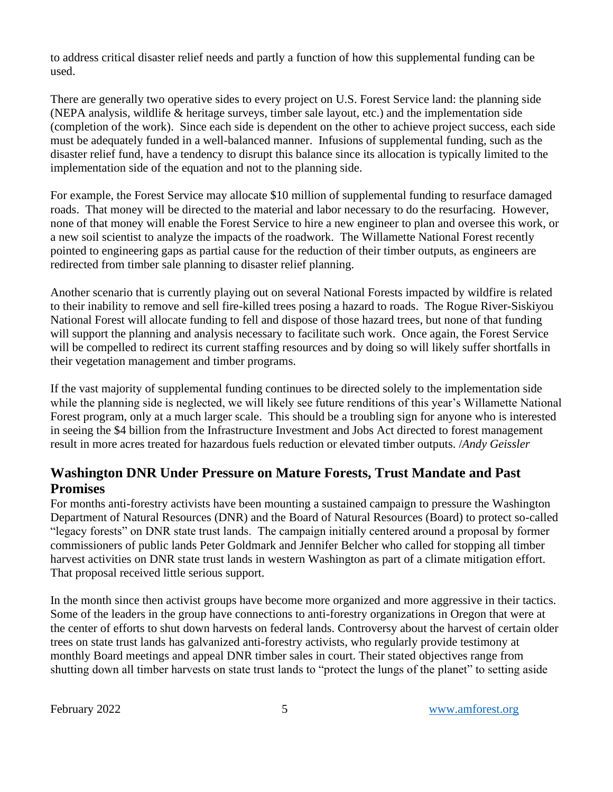to address critical disaster relief needs and partly a function of how this supplemental funding can be used.

There are generally two operative sides to every project on U.S. Forest Service land: the planning side (NEPA analysis, wildlife & heritage surveys, timber sale layout, etc.) and the implementation side (completion of the work). Since each side is dependent on the other to achieve project success, each side must be adequately funded in a well-balanced manner. Infusions of supplemental funding, such as the disaster relief fund, have a tendency to disrupt this balance since its allocation is typically limited to the implementation side of the equation and not to the planning side.

For example, the Forest Service may allocate \$10 million of supplemental funding to resurface damaged roads. That money will be directed to the material and labor necessary to do the resurfacing. However, none of that money will enable the Forest Service to hire a new engineer to plan and oversee this work, or a new soil scientist to analyze the impacts of the roadwork. The Willamette National Forest recently pointed to engineering gaps as partial cause for the reduction of their timber outputs, as engineers are redirected from timber sale planning to disaster relief planning.

Another scenario that is currently playing out on several National Forests impacted by wildfire is related to their inability to remove and sell fire-killed trees posing a hazard to roads. The Rogue River-Siskiyou National Forest will allocate funding to fell and dispose of those hazard trees, but none of that funding will support the planning and analysis necessary to facilitate such work. Once again, the Forest Service will be compelled to redirect its current staffing resources and by doing so will likely suffer shortfalls in their vegetation management and timber programs.

If the vast majority of supplemental funding continues to be directed solely to the implementation side while the planning side is neglected, we will likely see future renditions of this year's Willamette National Forest program, only at a much larger scale. This should be a troubling sign for anyone who is interested in seeing the \$4 billion from the Infrastructure Investment and Jobs Act directed to forest management result in more acres treated for hazardous fuels reduction or elevated timber outputs. /*Andy Geissler*

### **Washington DNR Under Pressure on Mature Forests, Trust Mandate and Past Promises**

For months anti-forestry activists have been mounting a sustained campaign to pressure the Washington Department of Natural Resources (DNR) and the Board of Natural Resources (Board) to protect so-called "legacy forests" on DNR state trust lands. The campaign initially centered around a proposal by former commissioners of public lands Peter Goldmark and Jennifer Belcher who called for stopping all timber harvest activities on DNR state trust lands in western Washington as part of a climate mitigation effort. That proposal received little serious support.

In the month since then activist groups have become more organized and more aggressive in their tactics. Some of the leaders in the group have connections to anti-forestry organizations in Oregon that were at the center of efforts to shut down harvests on federal lands. Controversy about the harvest of certain older trees on state trust lands has galvanized anti-forestry activists, who regularly provide testimony at monthly Board meetings and appeal DNR timber sales in court. Their stated objectives range from shutting down all timber harvests on state trust lands to "protect the lungs of the planet" to setting aside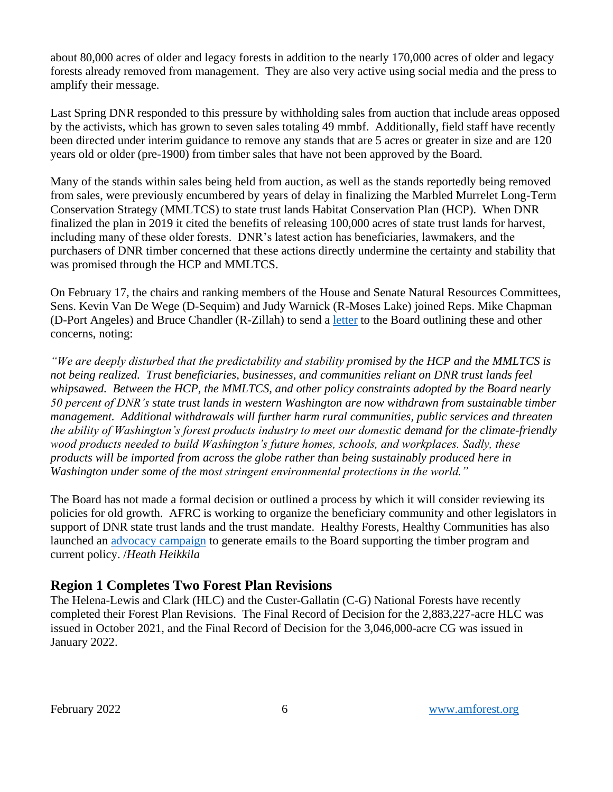about 80,000 acres of older and legacy forests in addition to the nearly 170,000 acres of older and legacy forests already removed from management. They are also very active using social media and the press to amplify their message.

Last Spring DNR responded to this pressure by withholding sales from auction that include areas opposed by the activists, which has grown to seven sales totaling 49 mmbf. Additionally, field staff have recently been directed under interim guidance to remove any stands that are 5 acres or greater in size and are 120 years old or older (pre-1900) from timber sales that have not been approved by the Board.

Many of the stands within sales being held from auction, as well as the stands reportedly being removed from sales, were previously encumbered by years of delay in finalizing the Marbled Murrelet Long-Term Conservation Strategy (MMLTCS) to state trust lands Habitat Conservation Plan (HCP). When DNR finalized the plan in 2019 it cited the benefits of releasing 100,000 acres of state trust lands for harvest, including many of these older forests. DNR's latest action has beneficiaries, lawmakers, and the purchasers of DNR timber concerned that these actions directly undermine the certainty and stability that was promised through the HCP and MMLTCS.

On February 17, the chairs and ranking members of the House and Senate Natural Resources Committees, Sens. Kevin Van De Wege (D-Sequim) and Judy Warnick (R-Moses Lake) joined Reps. Mike Chapman (D-Port Angeles) and Bruce Chandler (R-Zillah) to send a [letter](https://amforest.org/wp-content/uploads/2022/02/BNR-Letter.pdf) to the Board outlining these and other concerns, noting:

*"We are deeply disturbed that the predictability and stability promised by the HCP and the MMLTCS is not being realized. Trust beneficiaries, businesses, and communities reliant on DNR trust lands feel whipsawed. Between the HCP, the MMLTCS, and other policy constraints adopted by the Board nearly 50 percent of DNR's state trust lands in western Washington are now withdrawn from sustainable timber management. Additional withdrawals will further harm rural communities, public services and threaten the ability of Washington's forest products industry to meet our domestic demand for the climate-friendly wood products needed to build Washington's future homes, schools, and workplaces. Sadly, these products will be imported from across the globe rather than being sustainably produced here in Washington under some of the most stringent environmental protections in the world."*

The Board has not made a formal decision or outlined a process by which it will consider reviewing its policies for old growth. AFRC is working to organize the beneficiary community and other legislators in support of DNR state trust lands and the trust mandate. Healthy Forests, Healthy Communities has also launched an [advocacy campaign](https://www.votervoice.net/HFHC/campaigns/91885/respond) to generate emails to the Board supporting the timber program and current policy. /*Heath Heikkila*

### **Region 1 Completes Two Forest Plan Revisions**

The Helena-Lewis and Clark (HLC) and the Custer-Gallatin (C-G) National Forests have recently completed their Forest Plan Revisions. The Final Record of Decision for the 2,883,227-acre HLC was issued in October 2021, and the Final Record of Decision for the 3,046,000-acre CG was issued in January 2022.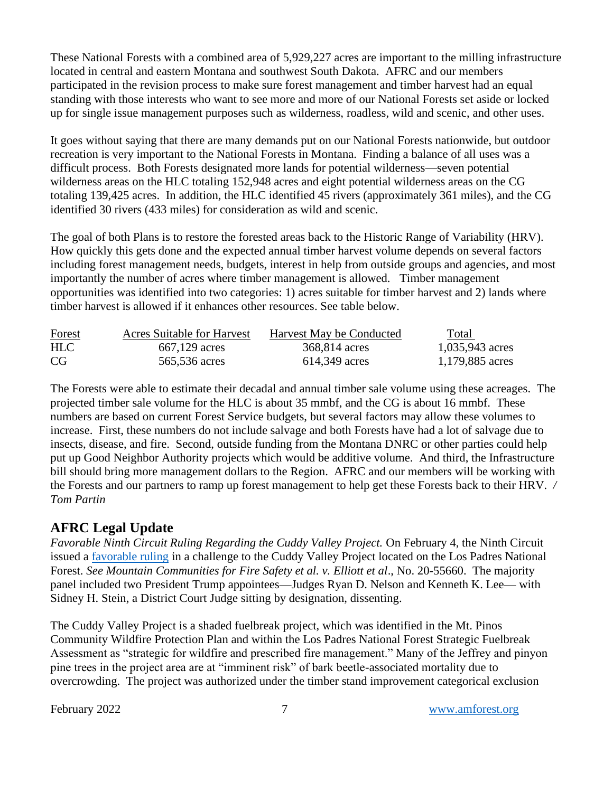These National Forests with a combined area of 5,929,227 acres are important to the milling infrastructure located in central and eastern Montana and southwest South Dakota. AFRC and our members participated in the revision process to make sure forest management and timber harvest had an equal standing with those interests who want to see more and more of our National Forests set aside or locked up for single issue management purposes such as wilderness, roadless, wild and scenic, and other uses.

It goes without saying that there are many demands put on our National Forests nationwide, but outdoor recreation is very important to the National Forests in Montana. Finding a balance of all uses was a difficult process. Both Forests designated more lands for potential wilderness—seven potential wilderness areas on the HLC totaling 152,948 acres and eight potential wilderness areas on the CG totaling 139,425 acres. In addition, the HLC identified 45 rivers (approximately 361 miles), and the CG identified 30 rivers (433 miles) for consideration as wild and scenic.

The goal of both Plans is to restore the forested areas back to the Historic Range of Variability (HRV). How quickly this gets done and the expected annual timber harvest volume depends on several factors including forest management needs, budgets, interest in help from outside groups and agencies, and most importantly the number of acres where timber management is allowed. Timber management opportunities was identified into two categories: 1) acres suitable for timber harvest and 2) lands where timber harvest is allowed if it enhances other resources. See table below.

| <b>Forest</b> | <b>Acres Suitable for Harvest</b> | Harvest May be Conducted | Total           |
|---------------|-----------------------------------|--------------------------|-----------------|
| <b>HLC</b>    | 667,129 acres                     | 368,814 acres            | 1,035,943 acres |
| CG            | 565,536 acres                     | 614,349 acres            | 1,179,885 acres |

The Forests were able to estimate their decadal and annual timber sale volume using these acreages. The projected timber sale volume for the HLC is about 35 mmbf, and the CG is about 16 mmbf. These numbers are based on current Forest Service budgets, but several factors may allow these volumes to increase. First, these numbers do not include salvage and both Forests have had a lot of salvage due to insects, disease, and fire. Second, outside funding from the Montana DNRC or other parties could help put up Good Neighbor Authority projects which would be additive volume. And third, the Infrastructure bill should bring more management dollars to the Region. AFRC and our members will be working with the Forests and our partners to ramp up forest management to help get these Forests back to their HRV. */ Tom Partin* 

#### **AFRC Legal Update**

*Favorable Ninth Circuit Ruling Regarding the Cuddy Valley Project.* On February 4, the Ninth Circuit issued a [favorable ruling](https://amforest.org/wp-content/uploads/2022/02/MCFFS-v.-Elliott-Opinion.pdf) in a challenge to the Cuddy Valley Project located on the Los Padres National Forest. *See Mountain Communities for Fire Safety et al. v. Elliott et al*., No. 20-55660. The majority panel included two President Trump appointees—Judges Ryan D. Nelson and Kenneth K. Lee— with Sidney H. Stein, a District Court Judge sitting by designation, dissenting.

The Cuddy Valley Project is a shaded fuelbreak project, which was identified in the Mt. Pinos Community Wildfire Protection Plan and within the Los Padres National Forest Strategic Fuelbreak Assessment as "strategic for wildfire and prescribed fire management." Many of the Jeffrey and pinyon pine trees in the project area are at "imminent risk" of bark beetle-associated mortality due to overcrowding. The project was authorized under the timber stand improvement categorical exclusion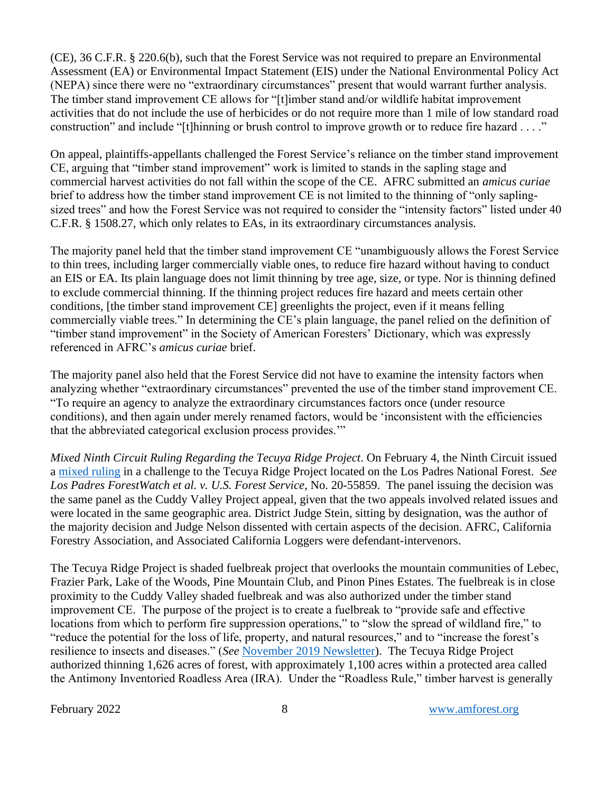(CE), 36 C.F.R. § 220.6(b), such that the Forest Service was not required to prepare an Environmental Assessment (EA) or Environmental Impact Statement (EIS) under the National Environmental Policy Act (NEPA) since there were no "extraordinary circumstances" present that would warrant further analysis. The timber stand improvement CE allows for "[t]imber stand and/or wildlife habitat improvement activities that do not include the use of herbicides or do not require more than 1 mile of low standard road construction" and include "[t]hinning or brush control to improve growth or to reduce fire hazard . . . ."

On appeal, plaintiffs-appellants challenged the Forest Service's reliance on the timber stand improvement CE, arguing that "timber stand improvement" work is limited to stands in the sapling stage and commercial harvest activities do not fall within the scope of the CE. AFRC submitted an *amicus curiae* brief to address how the timber stand improvement CE is not limited to the thinning of "only saplingsized trees" and how the Forest Service was not required to consider the "intensity factors" listed under 40 C.F.R. § 1508.27, which only relates to EAs, in its extraordinary circumstances analysis.

The majority panel held that the timber stand improvement CE "unambiguously allows the Forest Service to thin trees, including larger commercially viable ones, to reduce fire hazard without having to conduct an EIS or EA. Its plain language does not limit thinning by tree age, size, or type. Nor is thinning defined to exclude commercial thinning. If the thinning project reduces fire hazard and meets certain other conditions, [the timber stand improvement CE] greenlights the project, even if it means felling commercially viable trees." In determining the CE's plain language, the panel relied on the definition of "timber stand improvement" in the Society of American Foresters' Dictionary, which was expressly referenced in AFRC's *amicus curiae* brief.

The majority panel also held that the Forest Service did not have to examine the intensity factors when analyzing whether "extraordinary circumstances" prevented the use of the timber stand improvement CE. "To require an agency to analyze the extraordinary circumstances factors once (under resource conditions), and then again under merely renamed factors, would be 'inconsistent with the efficiencies that the abbreviated categorical exclusion process provides.'"

*Mixed Ninth Circuit Ruling Regarding the Tecuya Ridge Project*. On February 4, the Ninth Circuit issued a [mixed ruling](https://amforest.org/wp-content/uploads/2022/02/20-55859.pdf) in a challenge to the Tecuya Ridge Project located on the Los Padres National Forest. *See Los Padres ForestWatch et al. v. U.S. Forest Service*, No. 20-55859. The panel issuing the decision was the same panel as the Cuddy Valley Project appeal, given that the two appeals involved related issues and were located in the same geographic area. District Judge Stein, sitting by designation, was the author of the majority decision and Judge Nelson dissented with certain aspects of the decision. AFRC, California Forestry Association, and Associated California Loggers were defendant-intervenors.

The Tecuya Ridge Project is shaded fuelbreak project that overlooks the mountain communities of Lebec, Frazier Park, Lake of the Woods, Pine Mountain Club, and Pinon Pines Estates. The fuelbreak is in close proximity to the Cuddy Valley shaded fuelbreak and was also authorized under the timber stand improvement CE. The purpose of the project is to create a fuelbreak to "provide safe and effective locations from which to perform fire suppression operations," to "slow the spread of wildland fire," to "reduce the potential for the loss of life, property, and natural resources," and to "increase the forest's resilience to insects and diseases." (*See* [November 2019 Newsletter\)](https://amforest.org/wp-content/uploads/2019/12/November-2019-Newsletter.pdf). The Tecuya Ridge Project authorized thinning 1,626 acres of forest, with approximately 1,100 acres within a protected area called the Antimony Inventoried Roadless Area (IRA). Under the "Roadless Rule," timber harvest is generally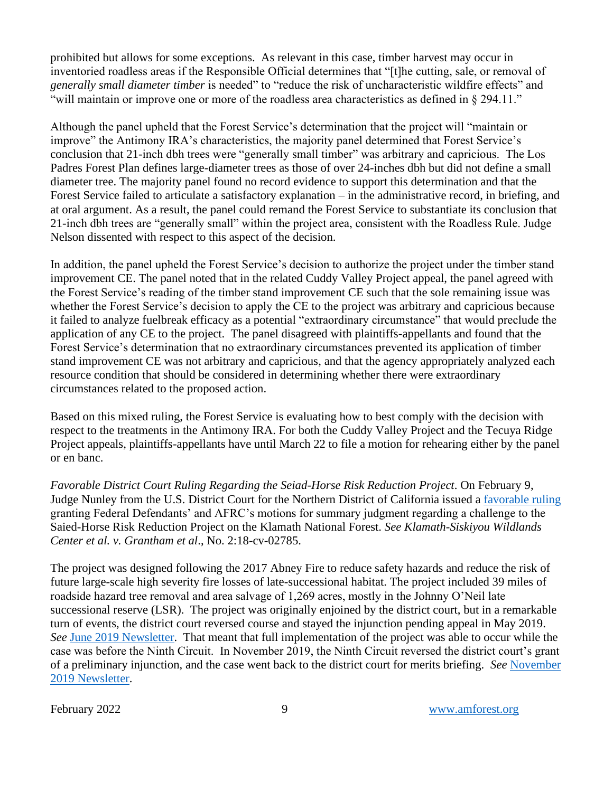prohibited but allows for some exceptions. As relevant in this case, timber harvest may occur in inventoried roadless areas if the Responsible Official determines that "[t]he cutting, sale, or removal of *generally small diameter timber* is needed" to "reduce the risk of uncharacteristic wildfire effects" and "will maintain or improve one or more of the roadless area characteristics as defined in § 294.11."

Although the panel upheld that the Forest Service's determination that the project will "maintain or improve" the Antimony IRA's characteristics, the majority panel determined that Forest Service's conclusion that 21-inch dbh trees were "generally small timber" was arbitrary and capricious. The Los Padres Forest Plan defines large-diameter trees as those of over 24-inches dbh but did not define a small diameter tree. The majority panel found no record evidence to support this determination and that the Forest Service failed to articulate a satisfactory explanation – in the administrative record, in briefing, and at oral argument. As a result, the panel could remand the Forest Service to substantiate its conclusion that 21-inch dbh trees are "generally small" within the project area, consistent with the Roadless Rule. Judge Nelson dissented with respect to this aspect of the decision.

In addition, the panel upheld the Forest Service's decision to authorize the project under the timber stand improvement CE. The panel noted that in the related Cuddy Valley Project appeal, the panel agreed with the Forest Service's reading of the timber stand improvement CE such that the sole remaining issue was whether the Forest Service's decision to apply the CE to the project was arbitrary and capricious because it failed to analyze fuelbreak efficacy as a potential "extraordinary circumstance" that would preclude the application of any CE to the project. The panel disagreed with plaintiffs-appellants and found that the Forest Service's determination that no extraordinary circumstances prevented its application of timber stand improvement CE was not arbitrary and capricious, and that the agency appropriately analyzed each resource condition that should be considered in determining whether there were extraordinary circumstances related to the proposed action.

Based on this mixed ruling, the Forest Service is evaluating how to best comply with the decision with respect to the treatments in the Antimony IRA. For both the Cuddy Valley Project and the Tecuya Ridge Project appeals, plaintiffs-appellants have until March 22 to file a motion for rehearing either by the panel or en banc.

*Favorable District Court Ruling Regarding the Seiad-Horse Risk Reduction Project*. On February 9, Judge Nunley from the U.S. District Court for the Northern District of California issued a [favorable ruling](https://amforest.org/wp-content/uploads/2022/02/Dkt-99-Order.pdf) granting Federal Defendants' and AFRC's motions for summary judgment regarding a challenge to the Saied-Horse Risk Reduction Project on the Klamath National Forest. *See Klamath-Siskiyou Wildlands Center et al. v. Grantham et al*., No. 2:18-cv-02785.

The project was designed following the 2017 Abney Fire to reduce safety hazards and reduce the risk of future large-scale high severity fire losses of late-successional habitat. The project included 39 miles of roadside hazard tree removal and area salvage of 1,269 acres, mostly in the Johnny O'Neil late successional reserve (LSR). The project was originally enjoined by the district court, but in a remarkable turn of events, the district court reversed course and stayed the injunction pending appeal in May 2019. *See* [June 2019 Newsletter.](https://amforest.org/wp-content/uploads/2019/07/June-2019-Newsletter.pdf) That meant that full implementation of the project was able to occur while the case was before the Ninth Circuit. In November 2019, the Ninth Circuit reversed the district court's grant of a preliminary injunction, and the case went back to the district court for merits briefing. *See* [November](https://amforest.org/wp-content/uploads/2019/12/November-2019-Newsletter.pdf)  [2019 Newsletter.](https://amforest.org/wp-content/uploads/2019/12/November-2019-Newsletter.pdf)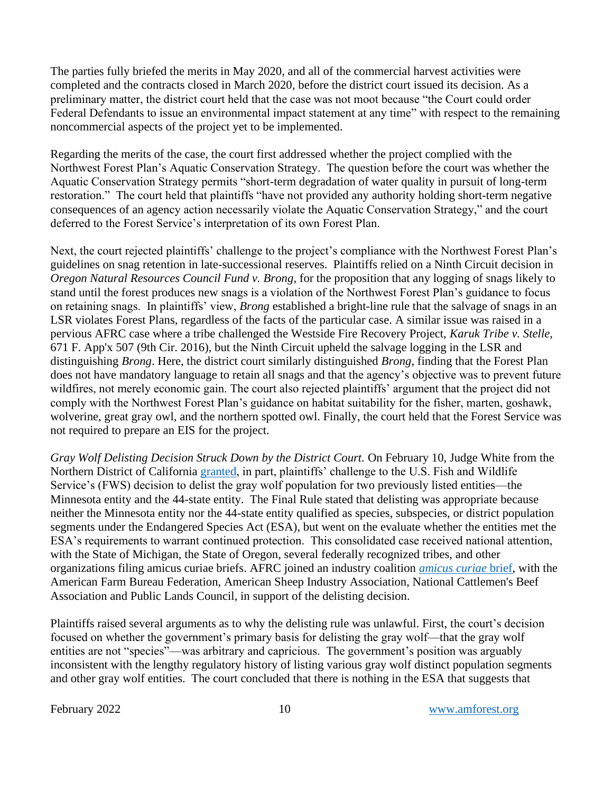The parties fully briefed the merits in May 2020, and all of the commercial harvest activities were completed and the contracts closed in March 2020, before the district court issued its decision. As a preliminary matter, the district court held that the case was not moot because "the Court could order Federal Defendants to issue an environmental impact statement at any time" with respect to the remaining noncommercial aspects of the project yet to be implemented.

Regarding the merits of the case, the court first addressed whether the project complied with the Northwest Forest Plan's Aquatic Conservation Strategy. The question before the court was whether the Aquatic Conservation Strategy permits "short-term degradation of water quality in pursuit of long-term restoration." The court held that plaintiffs "have not provided any authority holding short-term negative consequences of an agency action necessarily violate the Aquatic Conservation Strategy," and the court deferred to the Forest Service's interpretation of its own Forest Plan.

Next, the court rejected plaintiffs' challenge to the project's compliance with the Northwest Forest Plan's guidelines on snag retention in late-successional reserves. Plaintiffs relied on a Ninth Circuit decision in *Oregon Natural Resources Council Fund v. Brong*, for the proposition that any logging of snags likely to stand until the forest produces new snags is a violation of the Northwest Forest Plan's guidance to focus on retaining snags. In plaintiffs' view, *Brong* established a bright-line rule that the salvage of snags in an LSR violates Forest Plans, regardless of the facts of the particular case. A similar issue was raised in a pervious AFRC case where a tribe challenged the Westside Fire Recovery Project, *Karuk Tribe v. Stelle*, 671 F. App'x 507 (9th Cir. 2016), but the Ninth Circuit upheld the salvage logging in the LSR and distinguishing *Brong*. Here, the district court similarly distinguished *Brong*, finding that the Forest Plan does not have mandatory language to retain all snags and that the agency's objective was to prevent future wildfires, not merely economic gain. The court also rejected plaintiffs' argument that the project did not comply with the Northwest Forest Plan's guidance on habitat suitability for the fisher, marten, goshawk, wolverine, great gray owl, and the northern spotted owl. Finally, the court held that the Forest Service was not required to prepare an EIS for the project.

*Gray Wolf Delisting Decision Struck Down by the District Court.* On February 10, Judge White from the Northern District of California [granted,](https://amforest.org/wp-content/uploads/2022/02/Gray-Wolf-Order.pdf) in part, plaintiffs' challenge to the U.S. Fish and Wildlife Service's (FWS) decision to delist the gray wolf population for two previously listed entities—the Minnesota entity and the 44-state entity. The Final Rule stated that delisting was appropriate because neither the Minnesota entity nor the 44-state entity qualified as species, subspecies, or district population segments under the Endangered Species Act (ESA), but went on the evaluate whether the entities met the ESA's requirements to warrant continued protection. This consolidated case received national attention, with the State of Michigan, the State of Oregon, several federally recognized tribes, and other organizations filing amicus curiae briefs. AFRC joined an industry coalition *[amicus curiae](https://amforest.org/wp-content/uploads/2021/09/21-344_Dkt117_GrayWolfAgCoalAmicusBr.pdf)* brief, with the American Farm Bureau Federation, American Sheep Industry Association, National Cattlemen's Beef Association and Public Lands Council, in support of the delisting decision.

Plaintiffs raised several arguments as to why the delisting rule was unlawful. First, the court's decision focused on whether the government's primary basis for delisting the gray wolf—that the gray wolf entities are not "species"—was arbitrary and capricious. The government's position was arguably inconsistent with the lengthy regulatory history of listing various gray wolf distinct population segments and other gray wolf entities. The court concluded that there is nothing in the ESA that suggests that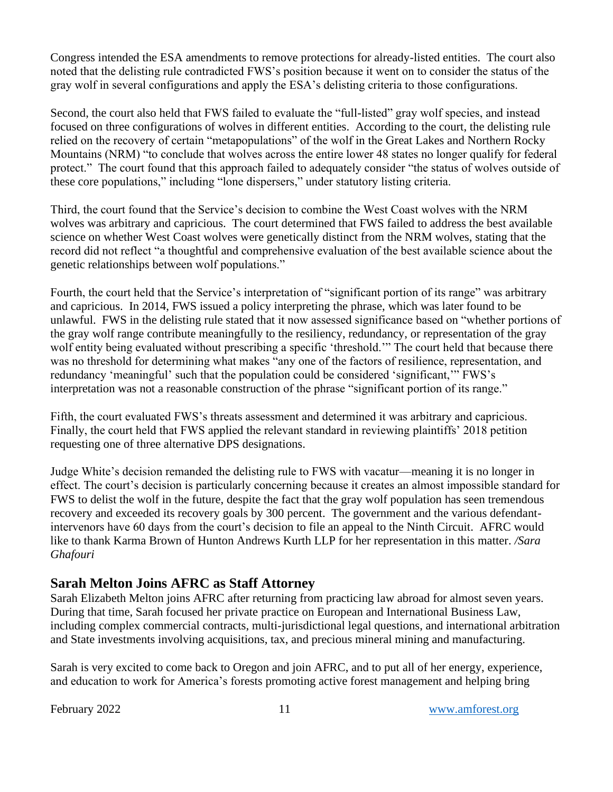Congress intended the ESA amendments to remove protections for already-listed entities. The court also noted that the delisting rule contradicted FWS's position because it went on to consider the status of the gray wolf in several configurations and apply the ESA's delisting criteria to those configurations.

Second, the court also held that FWS failed to evaluate the "full-listed" gray wolf species, and instead focused on three configurations of wolves in different entities. According to the court, the delisting rule relied on the recovery of certain "metapopulations" of the wolf in the Great Lakes and Northern Rocky Mountains (NRM) "to conclude that wolves across the entire lower 48 states no longer qualify for federal protect." The court found that this approach failed to adequately consider "the status of wolves outside of these core populations," including "lone dispersers," under statutory listing criteria.

Third, the court found that the Service's decision to combine the West Coast wolves with the NRM wolves was arbitrary and capricious. The court determined that FWS failed to address the best available science on whether West Coast wolves were genetically distinct from the NRM wolves, stating that the record did not reflect "a thoughtful and comprehensive evaluation of the best available science about the genetic relationships between wolf populations."

Fourth, the court held that the Service's interpretation of "significant portion of its range" was arbitrary and capricious. In 2014, FWS issued a policy interpreting the phrase, which was later found to be unlawful. FWS in the delisting rule stated that it now assessed significance based on "whether portions of the gray wolf range contribute meaningfully to the resiliency, redundancy, or representation of the gray wolf entity being evaluated without prescribing a specific 'threshold.'" The court held that because there was no threshold for determining what makes "any one of the factors of resilience, representation, and redundancy 'meaningful' such that the population could be considered 'significant,'" FWS's interpretation was not a reasonable construction of the phrase "significant portion of its range."

Fifth, the court evaluated FWS's threats assessment and determined it was arbitrary and capricious. Finally, the court held that FWS applied the relevant standard in reviewing plaintiffs' 2018 petition requesting one of three alternative DPS designations.

Judge White's decision remanded the delisting rule to FWS with vacatur—meaning it is no longer in effect. The court's decision is particularly concerning because it creates an almost impossible standard for FWS to delist the wolf in the future, despite the fact that the gray wolf population has seen tremendous recovery and exceeded its recovery goals by 300 percent. The government and the various defendantintervenors have 60 days from the court's decision to file an appeal to the Ninth Circuit. AFRC would like to thank Karma Brown of Hunton Andrews Kurth LLP for her representation in this matter. */Sara Ghafouri*

### **Sarah Melton Joins AFRC as Staff Attorney**

Sarah Elizabeth Melton joins AFRC after returning from practicing law abroad for almost seven years. During that time, Sarah focused her private practice on European and International Business Law, including complex commercial contracts, multi-jurisdictional legal questions, and international arbitration and State investments involving acquisitions, tax, and precious mineral mining and manufacturing.

Sarah is very excited to come back to Oregon and join AFRC, and to put all of her energy, experience, and education to work for America's forests promoting active forest management and helping bring